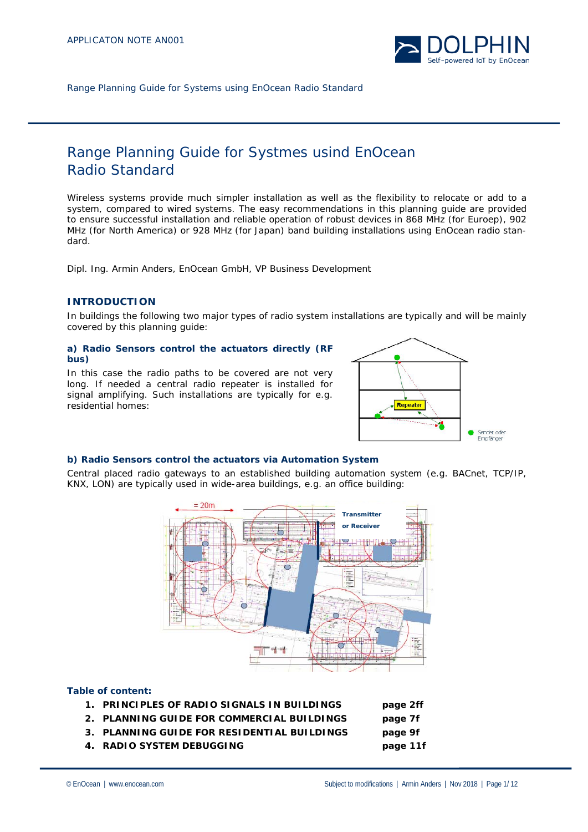

# Range Planning Guide for Systmes usind EnOcean Radio Standard

Wireless systems provide much simpler installation as well as the flexibility to relocate or add to a system, compared to wired systems. The easy recommendations in this planning guide are provided to ensure successful installation and reliable operation of robust devices in 868 MHz (for Euroep), 902 MHz (for North America) or 928 MHz (for Japan) band building installations using EnOcean radio standard.

*Dipl. Ing. Armin Anders, EnOcean GmbH, VP Business Development*

# **INTRODUCTION**

In buildings the following two major types of radio system installations are typically and will be mainly covered by this planning guide:

#### **a) Radio Sensors control the actuators directly (RF bus)**

In this case the radio paths to be covered are not very long. If needed a central radio repeater is installed for signal amplifying. Such installations are typically for e.g. residential homes:



# **b) Radio Sensors control the actuators via Automation System**

Central placed radio gateways to an established building automation system (e.g. BACnet, TCP/IP, KNX, LON) are typically used in wide-area buildings, e.g. an office building:



# **Table of content:**

- **1. PRINCIPLES OF RADIO SIGNALS IN BUILDINGS page 2ff**
- **2. PLANNING GUIDE FOR COMMERCIAL BUILDINGS page 7f**
- **3. PLANNING GUIDE FOR RESIDENTIAL BUILDINGS page 9f**
- **4. RADIO SYSTEM DEBUGGING page 11f**
- © EnOcean | www.enocean.com Subject to modifications | Armin Anders | Nov 2018 | Page 1/ 12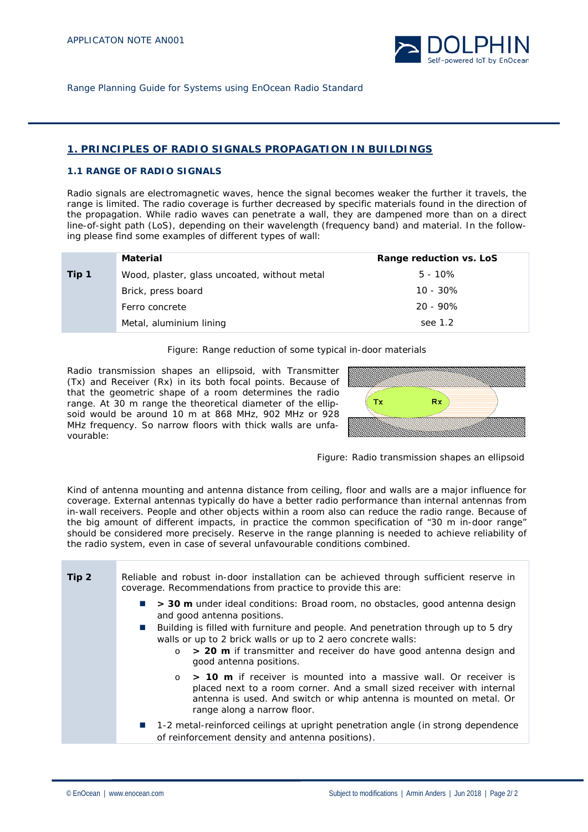

# **1. PRINCIPLES OF RADIO SIGNALS PROPAGATION IN BUILDINGS**

#### **1.1 RANGE OF RADIO SIGNALS**

Radio signals are electromagnetic waves, hence the signal becomes weaker the further it travels, the range is limited. The radio coverage is further decreased by specific materials found in the direction of the propagation. While radio waves can penetrate a wall, they are dampened more than on a direct line-of-sight path (LoS), depending on their wavelength (frequency band) and material. In the following please find some examples of different types of wall:

|       | Material                                     | Range reduction vs. LoS |
|-------|----------------------------------------------|-------------------------|
| Tip 1 | Wood, plaster, glass uncoated, without metal | $5 - 10\%$              |
|       | Brick, press board                           | $10 - 30\%$             |
|       | Ferro concrete                               | $20 - 90\%$             |
|       | Metal, aluminium lining                      | see 1.2                 |

Figure: Range reduction of some typical in-door materials

Radio transmission shapes an ellipsoid, with Transmitter (Tx) and Receiver (Rx) in its both focal points. Because of that the geometric shape of a room determines the radio range. At 30 m range the theoretical diameter of the ellipsoid would be around 10 m at 868 MHz, 902 MHz or 928 MHz frequency. So narrow floors with thick walls are unfavourable:





Kind of antenna mounting and antenna distance from ceiling, floor and walls are a major influence for coverage. External antennas typically do have a better radio performance than internal antennas from in-wall receivers. People and other objects within a room also can reduce the radio range. Because of the big amount of different impacts, in practice the common specification of "30 m in-door range" should be considered more precisely. Reserve in the range planning is needed to achieve reliability of the radio system, even in case of several unfavourable conditions combined.

| Tip <sub>2</sub> | Reliable and robust in-door installation can be achieved through sufficient reserve in<br>coverage. Recommendations from practice to provide this are:                                                                                                                                                                                                                                                           |  |
|------------------|------------------------------------------------------------------------------------------------------------------------------------------------------------------------------------------------------------------------------------------------------------------------------------------------------------------------------------------------------------------------------------------------------------------|--|
|                  | > 30 m under ideal conditions: Broad room, no obstacles, good antenna design<br><b>The Contract</b><br>and good antenna positions.<br>Building is filled with furniture and people. And penetration through up to 5 dry<br>$\sim 10$<br>walls or up to 2 brick walls or up to 2 aero concrete walls:<br>> 20 m if transmitter and receiver do have good antenna design and<br>$\circ$<br>good antenna positions. |  |
|                  | $\circ$ > 10 m if receiver is mounted into a massive wall. Or receiver is<br>placed next to a room corner. And a small sized receiver with internal<br>antenna is used. And switch or whip antenna is mounted on metal. Or<br>range along a narrow floor.                                                                                                                                                        |  |
|                  | ■ 1-2 metal-reinforced ceilings at upright penetration angle (in strong dependence<br>of reinforcement density and antenna positions).                                                                                                                                                                                                                                                                           |  |
|                  |                                                                                                                                                                                                                                                                                                                                                                                                                  |  |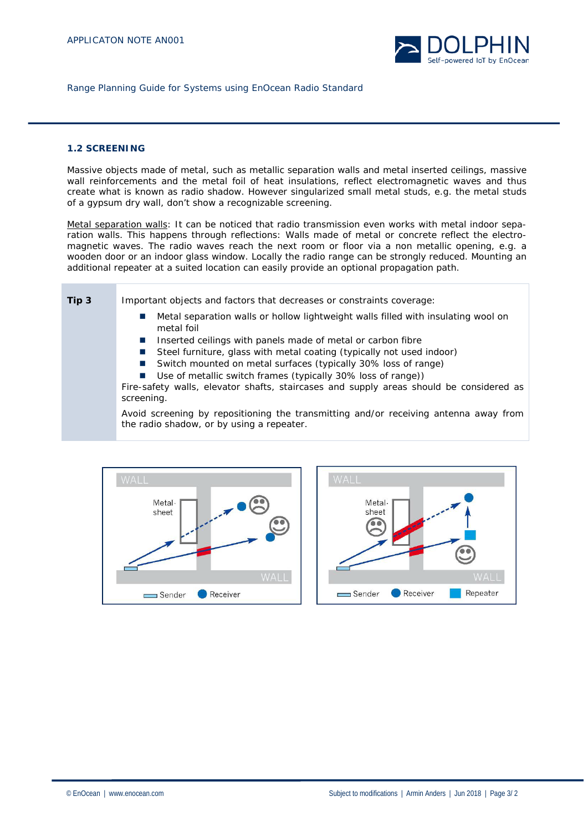

# **1.2 SCREENING**

Massive objects made of metal, such as metallic separation walls and metal inserted ceilings, massive wall reinforcements and the metal foil of heat insulations, reflect electromagnetic waves and thus create what is known as radio shadow. However singularized small metal studs, e.g. the metal studs of a gypsum dry wall, don't show a recognizable screening.

Metal separation walls: It can be noticed that radio transmission even works with metal indoor separation walls. This happens through reflections: Walls made of metal or concrete reflect the electromagnetic waves. The radio waves reach the next room or floor via a non metallic opening, e.g. a wooden door or an indoor glass window. Locally the radio range can be strongly reduced. Mounting an additional repeater at a suited location can easily provide an optional propagation path.

**Tip 3** Important objects and factors that decreases or constraints coverage:

- Metal separation walls or hollow lightweight walls filled with insulating wool on metal foil
- Inserted ceilings with panels made of metal or carbon fibre
- Steel furniture, glass with metal coating (typically not used indoor)
- Switch mounted on metal surfaces (typically 30% loss of range)
	- Use of metallic switch frames (typically 30% loss of range))

Fire-safety walls, elevator shafts, staircases and supply areas should be considered as screening.

Avoid screening by repositioning the transmitting and/or receiving antenna away from the radio shadow, or by using a repeater.



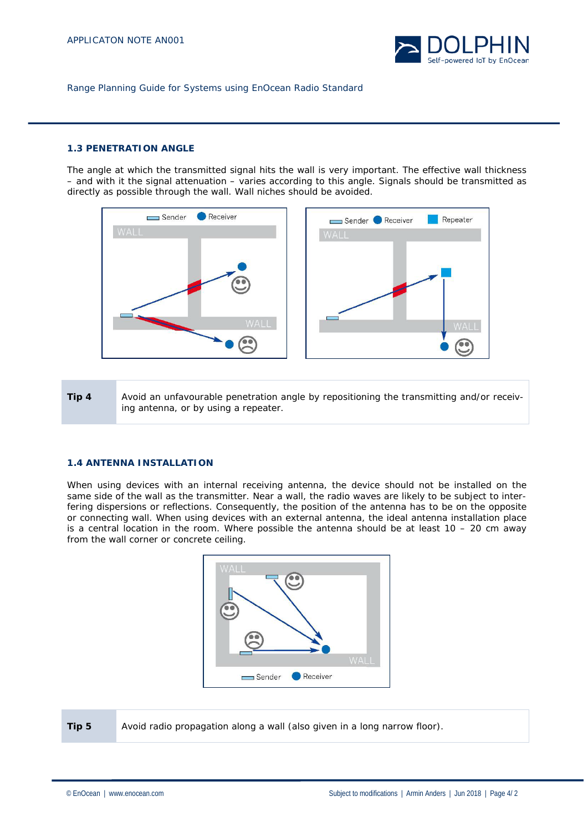

# **1.3 PENETRATION ANGLE**

The angle at which the transmitted signal hits the wall is very important. The effective wall thickness – and with it the signal attenuation – varies according to this angle. Signals should be transmitted as directly as possible through the wall. Wall niches should be avoided.



**Tip 4** Avoid an unfavourable penetration angle by repositioning the transmitting and/or receiving antenna, or by using a repeater.

#### **1.4 ANTENNA INSTALLATION**

When using devices with an internal receiving antenna, the device should not be installed on the same side of the wall as the transmitter. Near a wall, the radio waves are likely to be subject to interfering dispersions or reflections. Consequently, the position of the antenna has to be on the opposite or connecting wall. When using devices with an external antenna, the ideal antenna installation place is a central location in the room. Where possible the antenna should be at least  $10 - 20$  cm away from the wall corner or concrete ceiling.



**Tip 5** Avoid radio propagation along a wall (also given in a long narrow floor).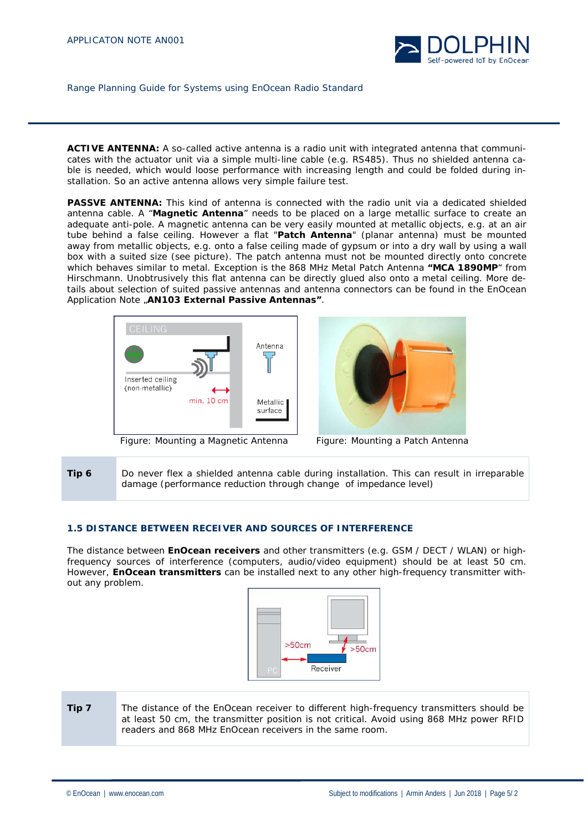

**ACTIVE ANTENNA:** A so-called active antenna is a radio unit with integrated antenna that communicates with the actuator unit via a simple multi-line cable (e.g. RS485). Thus no shielded antenna cable is needed, which would loose performance with increasing length and could be folded during installation. So an active antenna allows very simple failure test.

**PASSVE ANTENNA:** This kind of antenna is connected with the radio unit via a dedicated shielded antenna cable. A "**Magnetic Antenna**" needs to be placed on a large metallic surface to create an adequate anti-pole. A magnetic antenna can be very easily mounted at metallic objects, e.g. at an air tube behind a false ceiling. However a flat "**Patch Antenna**" (planar antenna) must be mounted away from metallic objects, e.g. onto a false ceiling made of gypsum or into a dry wall by using a wall box with a suited size (see picture). The patch antenna must not be mounted directly onto concrete which behaves similar to metal. Exception is the 868 MHz Metal Patch Antenna **"MCA 1890MP**" from Hirschmann. Unobtrusively this flat antenna can be directly glued also onto a metal ceiling. More details about selection of suited passive antennas and antenna connectors can be found in the EnOcean Application Note "**AN103 External Passive Antennas"**.



Figure: Mounting a Magnetic Antenna Figure: Mounting a Patch Antenna



**Tip 6** Do never flex a shielded antenna cable during installation. This can result in irreparable damage (performance reduction through change of impedance level)

# **1.5 DISTANCE BETWEEN RECEIVER AND SOURCES OF INTERFERENCE**

The distance between **EnOcean receivers** and other transmitters (e.g. GSM / DECT / WLAN) or highfrequency sources of interference (computers, audio/video equipment) should be at least 50 cm. However, **EnOcean transmitters** can be installed next to any other high-frequency transmitter without any problem.



**Tip 7** The distance of the EnOcean receiver to different high-frequency transmitters should be at least 50 cm, the transmitter position is not critical. Avoid using 868 MHz power RFID readers and 868 MHz EnOcean receivers in the same room.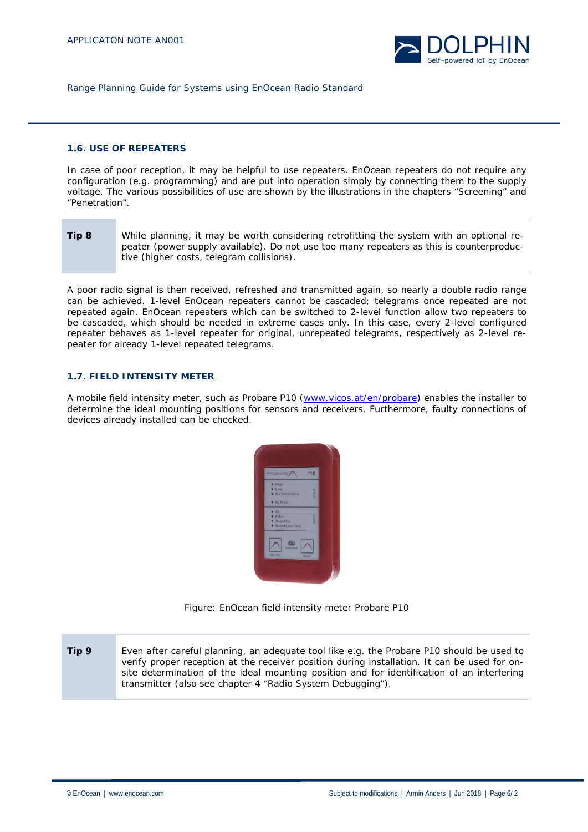

#### **1.6. USE OF REPEATERS**

In case of poor reception, it may be helpful to use repeaters. EnOcean repeaters do not require any configuration (e.g. programming) and are put into operation simply by connecting them to the supply voltage. The various possibilities of use are shown by the illustrations in the chapters "Screening" and "Penetration".

**Tip 8** While planning, it may be worth considering retrofitting the system with an optional repeater (power supply available). Do not use too many repeaters as this is counterproductive (higher costs, telegram collisions).

A poor radio signal is then received, refreshed and transmitted again, so nearly a double radio range can be achieved. 1-level EnOcean repeaters cannot be cascaded; telegrams once repeated are not repeated again. EnOcean repeaters which can be switched to 2-level function allow two repeaters to be cascaded, which should be needed in extreme cases only. In this case, every 2-level configured repeater behaves as 1-level repeater for original, unrepeated telegrams, respectively as 2-level repeater for already 1-level repeated telegrams.

# **1.7. FIELD INTENSITY METER**

A mobile field intensity meter, such as Probare P10 [\(www.vicos.at/en/probare\)](http://www.vicos.at/en/probare) enables the installer to determine the ideal mounting positions for sensors and receivers. Furthermore, faulty connections of devices already installed can be checked.



Figure: EnOcean field intensity meter Probare P10

**Tip 9** Even after careful planning, an adequate tool like e.g. the Probare P10 should be used to verify proper reception at the receiver position during installation. It can be used for onsite determination of the ideal mounting position and for identification of an interfering transmitter (also see chapter 4 "Radio System Debugging").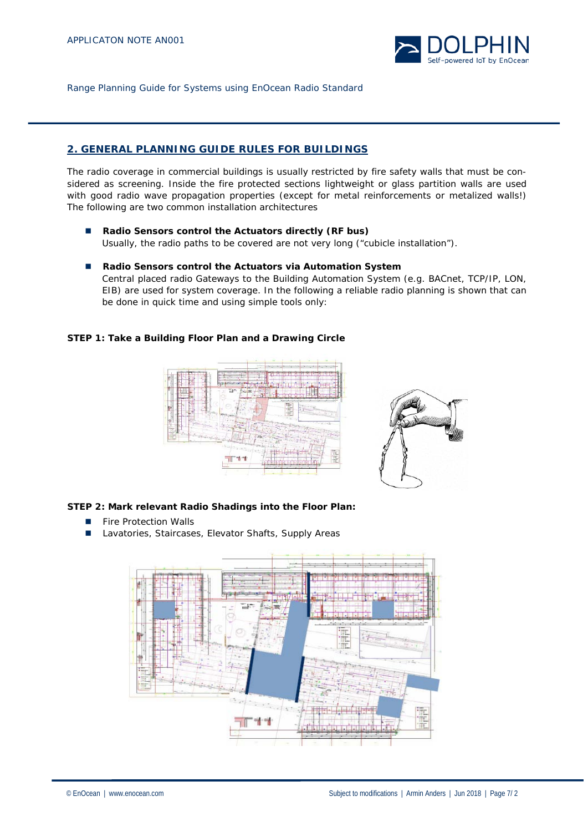

# **2. GENERAL PLANNING GUIDE RULES FOR BUILDINGS**

The radio coverage in commercial buildings is usually restricted by fire safety walls that must be considered as screening. Inside the fire protected sections lightweight or glass partition walls are used with good radio wave propagation properties (except for metal reinforcements or metalized walls!) The following are two common installation architectures

- **Radio Sensors control the Actuators directly (RF bus)** Usually, the radio paths to be covered are not very long ("cubicle installation").
- Radio Sensors control the Actuators via Automation System Central placed radio Gateways to the Building Automation System (e.g. BACnet, TCP/IP, LON, EIB) are used for system coverage. In the following a reliable radio planning is shown that can be done in quick time and using simple tools only:

# **STEP 1: Take a Building Floor Plan and a Drawing Circle**





# **STEP 2: Mark relevant Radio Shadings into the Floor Plan:**

- **Fire Protection Walls**
- Lavatories, Staircases, Elevator Shafts, Supply Areas

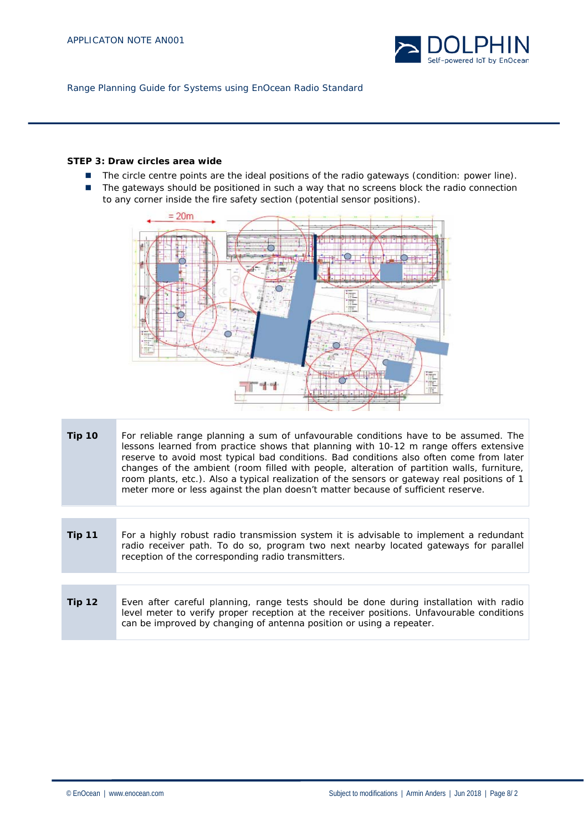

# **STEP 3: Draw circles area wide**

- The circle centre points are the ideal positions of the radio gateways (condition: power line).
- The gateways should be positioned in such a way that no screens block the radio connection to any corner inside the fire safety section (potential sensor positions).



- **Tip 10** For reliable range planning a sum of unfavourable conditions have to be assumed. The lessons learned from practice shows that planning with 10-12 m range offers extensive reserve to avoid most typical bad conditions. Bad conditions also often come from later changes of the ambient (room filled with people, alteration of partition walls, furniture, room plants, etc.). Also a typical realization of the sensors or gateway real positions of 1 meter more or less against the plan doesn't matter because of sufficient reserve.
- **Tip 11** For a highly robust radio transmission system it is advisable to implement a redundant radio receiver path. To do so, program two next nearby located gateways for parallel reception of the corresponding radio transmitters.
- **Tip 12** Even after careful planning, range tests should be done during installation with radio level meter to verify proper reception at the receiver positions. Unfavourable conditions can be improved by changing of antenna position or using a repeater.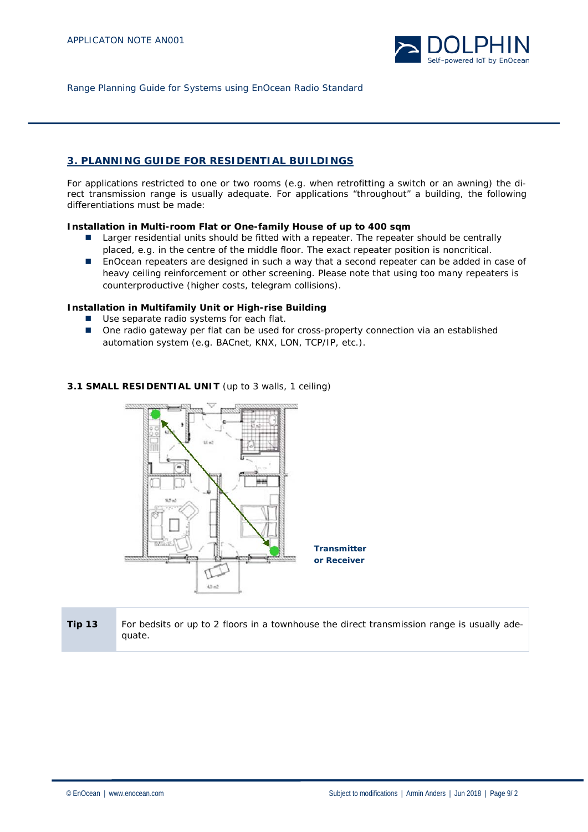

# **3. PLANNING GUIDE FOR RESIDENTIAL BUILDINGS**

For applications restricted to one or two rooms (e.g. when retrofitting a switch or an awning) the direct transmission range is usually adequate. For applications "throughout" a building, the following differentiations must be made:

# **Installation in Multi-room Flat or One-family House of up to 400 sqm**

- **Larger residential units should be fitted with a repeater. The repeater should be centrally** placed, e.g. in the centre of the middle floor. The exact repeater position is noncritical.
- EnOcean repeaters are designed in such a way that a second repeater can be added in case of heavy ceiling reinforcement or other screening. Please note that using too many repeaters is counterproductive (higher costs, telegram collisions).

# **Installation in Multifamily Unit or High-rise Building**

- Use separate radio systems for each flat.
- One radio gateway per flat can be used for cross-property connection via an established automation system (e.g. BACnet, KNX, LON, TCP/IP, etc.).



# **3.1 SMALL RESIDENTIAL UNIT** (up to 3 walls, 1 ceiling)

**Tip 13** For bedsits or up to 2 floors in a townhouse the direct transmission range is usually adequate.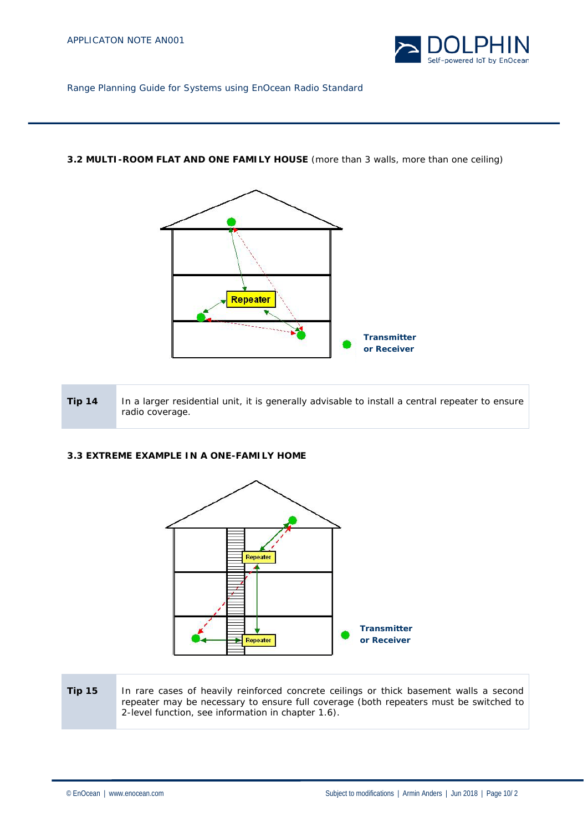

# **3.2 MULTI-ROOM FLAT AND ONE FAMILY HOUSE** (more than 3 walls, more than one ceiling)



| <b>Tip 14</b> | In a larger residential unit, it is generally advisable to install a central repeater to ensure |
|---------------|-------------------------------------------------------------------------------------------------|
|               | radio coverage.                                                                                 |

# **3.3 EXTREME EXAMPLE IN A ONE-FAMILY HOME**



# **Tip 15** In rare cases of heavily reinforced concrete ceilings or thick basement walls a second repeater may be necessary to ensure full coverage (both repeaters must be switched to 2-level function, see information in chapter 1.6).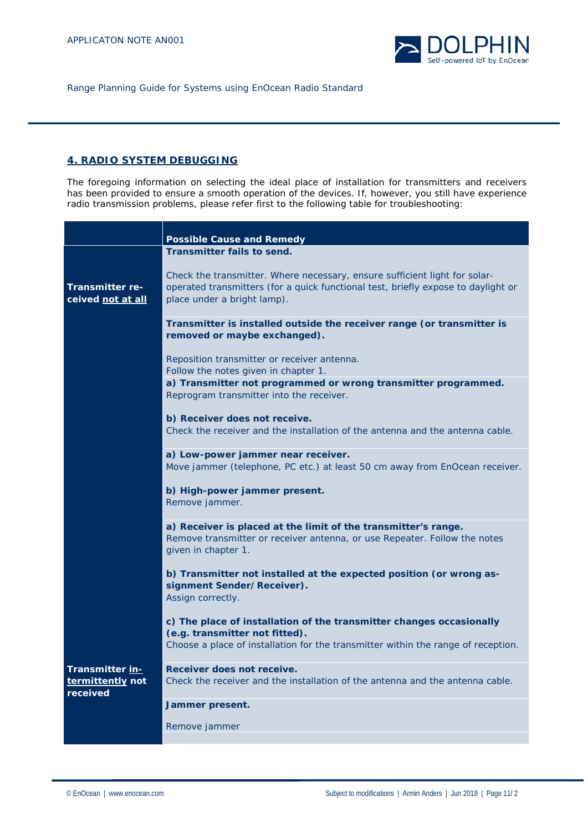

# **4. RADIO SYSTEM DEBUGGING**

The foregoing information on selecting the ideal place of installation for transmitters and receivers has been provided to ensure a smooth operation of the devices. If, however, you still have experience radio transmission problems, please refer first to the following table for troubleshooting:

|                          | <b>Possible Cause and Remedy</b>                                                                                  |
|--------------------------|-------------------------------------------------------------------------------------------------------------------|
|                          | <b>Transmitter fails to send.</b>                                                                                 |
|                          |                                                                                                                   |
|                          | Check the transmitter. Where necessary, ensure sufficient light for solar-                                        |
| <b>Transmitter re-</b>   | operated transmitters (for a quick functional test, briefly expose to daylight or                                 |
| ceived <u>not at all</u> | place under a bright lamp).                                                                                       |
|                          |                                                                                                                   |
|                          | Transmitter is installed outside the receiver range (or transmitter is                                            |
|                          | removed or maybe exchanged).                                                                                      |
|                          |                                                                                                                   |
|                          | Reposition transmitter or receiver antenna.                                                                       |
|                          | Follow the notes given in chapter 1.                                                                              |
|                          | a) Transmitter not programmed or wrong transmitter programmed.                                                    |
|                          | Reprogram transmitter into the receiver.                                                                          |
|                          |                                                                                                                   |
|                          | b) Receiver does not receive.                                                                                     |
|                          | Check the receiver and the installation of the antenna and the antenna cable.                                     |
|                          |                                                                                                                   |
|                          | a) Low-power jammer near receiver.<br>Move jammer (telephone, PC etc.) at least 50 cm away from EnOcean receiver. |
|                          |                                                                                                                   |
|                          | b) High-power jammer present.                                                                                     |
|                          | Remove jammer.                                                                                                    |
|                          |                                                                                                                   |
|                          | a) Receiver is placed at the limit of the transmitter's range.                                                    |
|                          | Remove transmitter or receiver antenna, or use Repeater. Follow the notes                                         |
|                          | given in chapter 1.                                                                                               |
|                          |                                                                                                                   |
|                          | b) Transmitter not installed at the expected position (or wrong as-                                               |
|                          | signment Sender/Receiver).                                                                                        |
|                          | Assign correctly.                                                                                                 |
|                          |                                                                                                                   |
|                          | c) The place of installation of the transmitter changes occasionally                                              |
|                          | (e.g. transmitter not fitted).                                                                                    |
|                          | Choose a place of installation for the transmitter within the range of reception.                                 |
|                          |                                                                                                                   |
| Transmitter in-          | Receiver does not receive.                                                                                        |
| termittently not         | Check the receiver and the installation of the antenna and the antenna cable.                                     |
| received                 |                                                                                                                   |
|                          | Jammer present.                                                                                                   |
|                          |                                                                                                                   |
|                          | Remove jammer                                                                                                     |
|                          |                                                                                                                   |